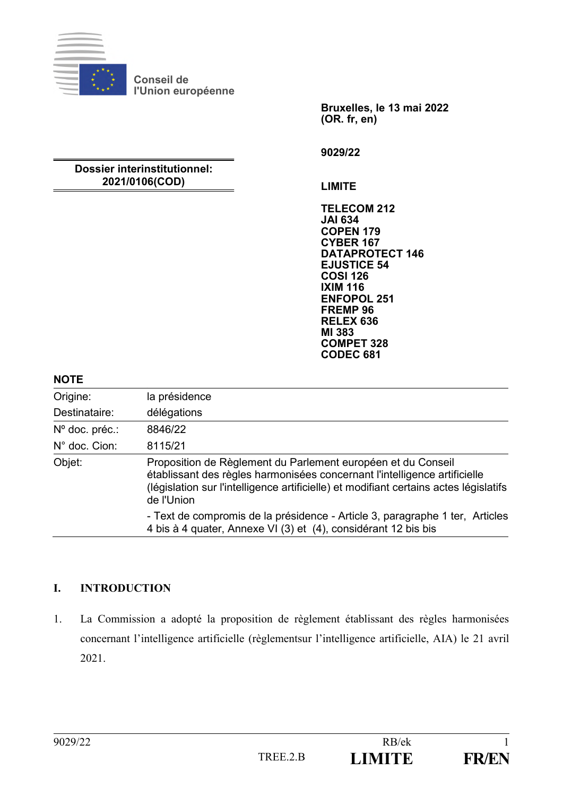

**Conseil de l'Union européenne**

> **Bruxelles, le 13 mai 2022 (OR. fr, en)**

**9029/22**

## **Dossier interinstitutionnel: 2021/0106(COD)**

**LIMITE**

**TELECOM 212 JAI 634 COPEN 179 CYBER 167 DATAPROTECT 146 EJUSTICE 54 COSI 126 IXIM 116 ENFOPOL 251 FREMP 96 RELEX 636 MI 383 COMPET 328 CODEC 681**

### **NOTE**

| Origine:                | la présidence                                                                                                                                                                                                                                    |
|-------------------------|--------------------------------------------------------------------------------------------------------------------------------------------------------------------------------------------------------------------------------------------------|
| Destinataire:           | délégations                                                                                                                                                                                                                                      |
| $N^{\circ}$ doc. préc.: | 8846/22                                                                                                                                                                                                                                          |
| $N^{\circ}$ doc. Cion:  | 8115/21                                                                                                                                                                                                                                          |
| Objet:                  | Proposition de Règlement du Parlement européen et du Conseil<br>établissant des règles harmonisées concernant l'intelligence artificielle<br>(législation sur l'intelligence artificielle) et modifiant certains actes législatifs<br>de l'Union |
|                         | - Text de compromis de la présidence - Article 3, paragraphe 1 ter, Articles<br>4 bis à 4 quater, Annexe VI (3) et (4), considérant 12 bis bis                                                                                                   |

# **I. INTRODUCTION**

1. La Commission a adopté la proposition de règlement établissant des règles harmonisées concernant l'intelligence artificielle (règlementsur l'intelligence artificielle, AIA) le 21 avril 2021.

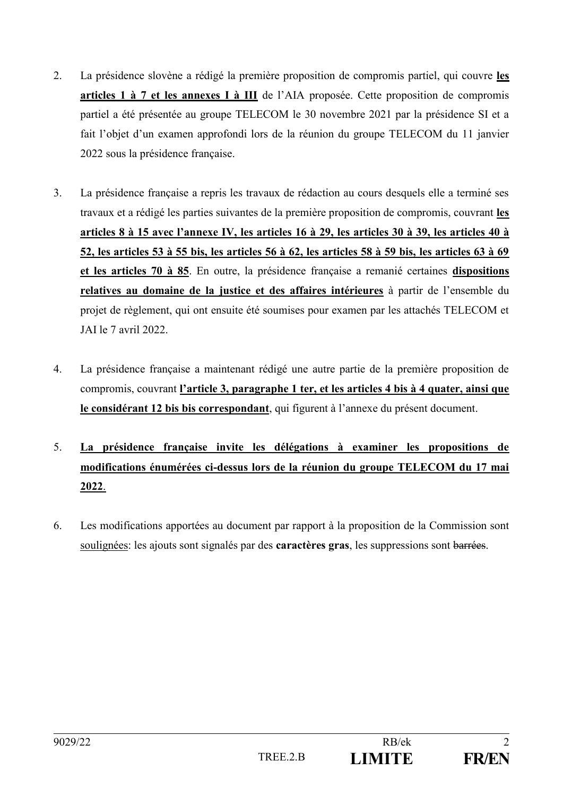- 2. La présidence slovène a rédigé la première proposition de compromis partiel, qui couvre **les articles 1 à 7 et les annexes I à III** de l'AIA proposée. Cette proposition de compromis partiel a été présentée au groupe TELECOM le 30 novembre 2021 par la présidence SI et a fait l'objet d'un examen approfondi lors de la réunion du groupe TELECOM du 11 janvier 2022 sous la présidence française.
- 3. La présidence française a repris les travaux de rédaction au cours desquels elle a terminé ses travaux et a rédigé les parties suivantes de la première proposition de compromis, couvrant **les articles 8 à 15 avec l'annexe IV, les articles 16 à 29, les articles 30 à 39, les articles 40 à 52, les articles 53 à 55 bis, les articles 56 à 62, les articles 58 à 59 bis, les articles 63 à 69 et les articles 70 à 85**. En outre, la présidence française a remanié certaines **dispositions relatives au domaine de la justice et des affaires intérieures** à partir de l'ensemble du projet de règlement, qui ont ensuite été soumises pour examen par les attachés TELECOM et JAI le 7 avril 2022.
- 4. La présidence française a maintenant rédigé une autre partie de la première proposition de compromis, couvrant **l'article 3, paragraphe 1 ter, et les articles 4 bis à 4 quater, ainsi que le considérant 12 bis bis correspondant**, qui figurent à l'annexe du présent document.
- 5. **La présidence française invite les délégations à examiner les propositions de modifications énumérées ci-dessus lors de la réunion du groupe TELECOM du 17 mai 2022**.
- 6. Les modifications apportées au document par rapport à la proposition de la Commission sont soulignées: les ajouts sont signalés par des **caractères gras**, les suppressions sont barrées.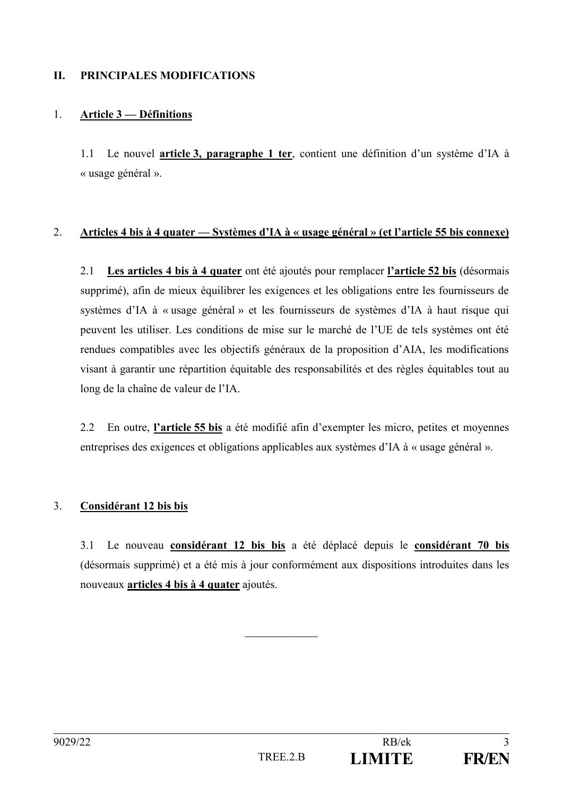# **II. PRINCIPALES MODIFICATIONS**

## 1. **Article 3 — Définitions**

1.1 Le nouvel **article 3, paragraphe 1 ter**, contient une définition d'un système d'IA à « usage général ».

### 2. **Articles 4 bis à 4 quater — Systèmes d'IA à « usage général » (et l'article 55 bis connexe)**

2.1 **Les articles 4 bis à 4 quater** ont été ajoutés pour remplacer **l'article 52 bis** (désormais supprimé), afin de mieux équilibrer les exigences et les obligations entre les fournisseurs de systèmes d'IA à « usage général » et les fournisseurs de systèmes d'IA à haut risque qui peuvent les utiliser. Les conditions de mise sur le marché de l'UE de tels systèmes ont été rendues compatibles avec les objectifs généraux de la proposition d'AIA, les modifications visant à garantir une répartition équitable des responsabilités et des règles équitables tout au long de la chaîne de valeur de l'IA.

2.2 En outre, **l'article 55 bis** a été modifié afin d'exempter les micro, petites et moyennes entreprises des exigences et obligations applicables aux systèmes d'IA à « usage général ».

# 3. **Considérant 12 bis bis**

3.1 Le nouveau **considérant 12 bis bis** a été déplacé depuis le **considérant 70 bis** (désormais supprimé) et a été mis à jour conformément aux dispositions introduites dans les nouveaux **articles 4 bis à 4 quater** ajoutés.

 $\frac{1}{2}$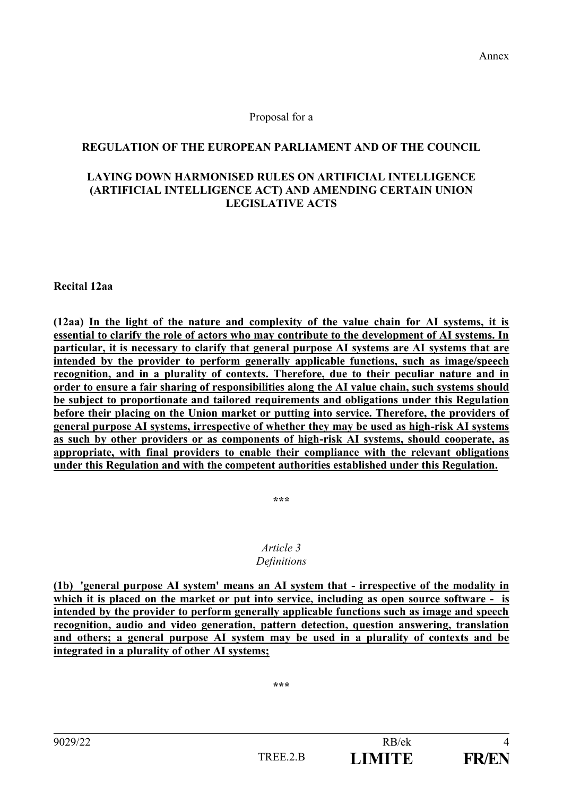## Proposal for a

## **REGULATION OF THE EUROPEAN PARLIAMENT AND OF THE COUNCIL**

### **LAYING DOWN HARMONISED RULES ON ARTIFICIAL INTELLIGENCE (ARTIFICIAL INTELLIGENCE ACT) AND AMENDING CERTAIN UNION LEGISLATIVE ACTS**

**Recital 12aa**

**(12aa) In the light of the nature and complexity of the value chain for AI systems, it is essential to clarify the role of actors who may contribute to the development of AI systems. In particular, it is necessary to clarify that general purpose AI systems are AI systems that are intended by the provider to perform generally applicable functions, such as image/speech recognition, and in a plurality of contexts. Therefore, due to their peculiar nature and in order to ensure a fair sharing of responsibilities along the AI value chain, such systems should be subject to proportionate and tailored requirements and obligations under this Regulation before their placing on the Union market or putting into service. Therefore, the providers of general purpose AI systems, irrespective of whether they may be used as high-risk AI systems as such by other providers or as components of high-risk AI systems, should cooperate, as appropriate, with final providers to enable their compliance with the relevant obligations under this Regulation and with the competent authorities established under this Regulation.**

**\*\*\***

#### *Article 3 Definitions*

**(1b) 'general purpose AI system' means an AI system that - irrespective of the modality in which it is placed on the market or put into service, including as open source software - is intended by the provider to perform generally applicable functions such as image and speech recognition, audio and video generation, pattern detection, question answering, translation and others; a general purpose AI system may be used in a plurality of contexts and be integrated in a plurality of other AI systems;**

**\*\*\***

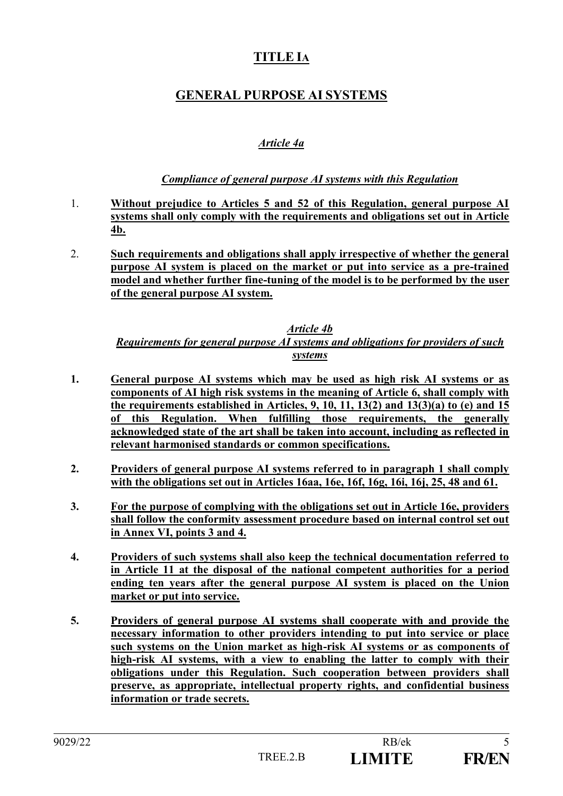# **TITLE IA**

# **GENERAL PURPOSE AI SYSTEMS**

# *Article 4a*

# *Compliance of general purpose AI systems with this Regulation*

- 1. **Without prejudice to Articles 5 and 52 of this Regulation, general purpose AI systems shall only comply with the requirements and obligations set out in Article 4b.**
- 2. **Such requirements and obligations shall apply irrespective of whether the general purpose AI system is placed on the market or put into service as a pre-trained model and whether further fine-tuning of the model is to be performed by the user of the general purpose AI system.**

#### *Article 4b Requirements for general purpose AI systems and obligations for providers of such systems*

- **1. General purpose AI systems which may be used as high risk AI systems or as components of AI high risk systems in the meaning of Article 6, shall comply with the requirements established in Articles, 9, 10, 11, 13(2) and 13(3)(a) to (e) and 15 of this Regulation. When fulfilling those requirements, the generally acknowledged state of the art shall be taken into account, including as reflected in relevant harmonised standards or common specifications.**
- **2. Providers of general purpose AI systems referred to in paragraph 1 shall comply with the obligations set out in Articles 16aa, 16e, 16f, 16g, 16i, 16j, 25, 48 and 61.**
- **3. For the purpose of complying with the obligations set out in Article 16e, providers shall follow the conformity assessment procedure based on internal control set out in Annex VI, points 3 and 4.**
- **4. Providers of such systems shall also keep the technical documentation referred to in Article 11 at the disposal of the national competent authorities for a period ending ten years after the general purpose AI system is placed on the Union market or put into service.**
- **5. Providers of general purpose AI systems shall cooperate with and provide the necessary information to other providers intending to put into service or place such systems on the Union market as high-risk AI systems or as components of high-risk AI systems, with a view to enabling the latter to comply with their obligations under this Regulation. Such cooperation between providers shall preserve, as appropriate, intellectual property rights, and confidential business information or trade secrets.**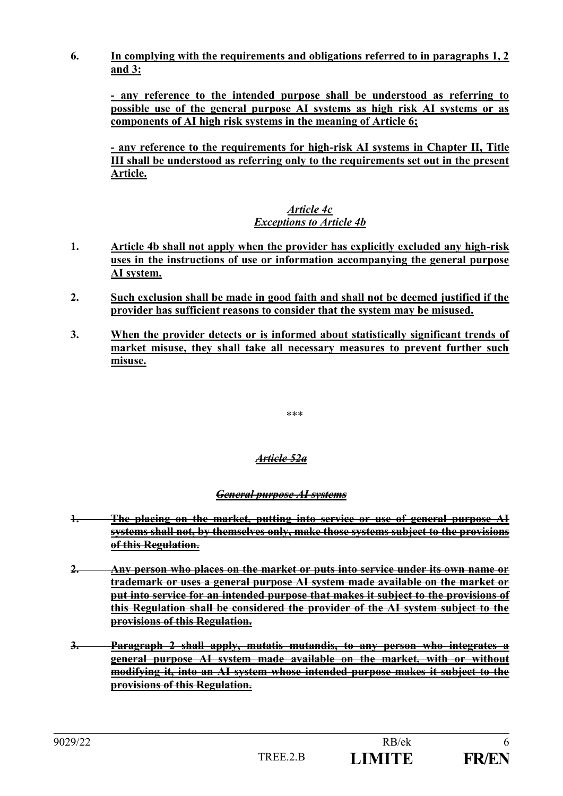**6. In complying with the requirements and obligations referred to in paragraphs 1, 2 and 3:**

**- any reference to the intended purpose shall be understood as referring to possible use of the general purpose AI systems as high risk AI systems or as components of AI high risk systems in the meaning of Article 6;**

**- any reference to the requirements for high-risk AI systems in Chapter II, Title III shall be understood as referring only to the requirements set out in the present Article.**

# *Article 4c Exceptions to Article 4b*

- **1. Article 4b shall not apply when the provider has explicitly excluded any high-risk uses in the instructions of use or information accompanying the general purpose AI system.**
- **2. Such exclusion shall be made in good faith and shall not be deemed justified if the provider has sufficient reasons to consider that the system may be misused.**
- **3. When the provider detects or is informed about statistically significant trends of market misuse, they shall take all necessary measures to prevent further such misuse.**

\*\*\*

# *Article 52a*

# *General purpose AI systems*

- **1. The placing on the market, putting into service or use of general purpose AI systems shall not, by themselves only, make those systems subject to the provisions of this Regulation.**
- **2. Any person who places on the market or puts into service under its own name or trademark or uses a general purpose AI system made available on the market or put into service for an intended purpose that makes it subject to the provisions of this Regulation shall be considered the provider of the AI system subject to the provisions of this Regulation.**
- **3. Paragraph 2 shall apply, mutatis mutandis, to any person who integrates a general purpose AI system made available on the market, with or without modifying it, into an AI system whose intended purpose makes it subject to the provisions of this Regulation.**